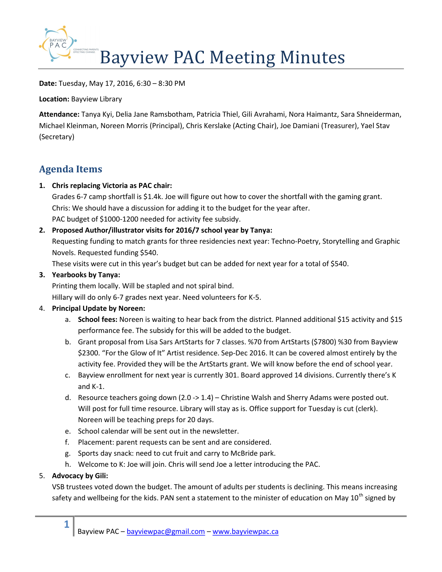

Date: Tuesday, May 17, 2016, 6:30 – 8:30 PM

Location: Bayview Library

Attendance: Tanya Kyi, Delia Jane Ramsbotham, Patricia Thiel, Gili Avrahami, Nora Haimantz, Sara Shneiderman, Michael Kleinman, Noreen Morris (Principal), Chris Kerslake (Acting Chair), Joe Damiani (Treasurer), Yael Stav (Secretary)

# Agenda Items

# 1. Chris replacing Victoria as PAC chair:

Grades 6-7 camp shortfall is \$1.4k. Joe will figure out how to cover the shortfall with the gaming grant. Chris: We should have a discussion for adding it to the budget for the year after. PAC budget of \$1000-1200 needed for activity fee subsidy.

# 2. Proposed Author/illustrator visits for 2016/7 school year by Tanya:

Requesting funding to match grants for three residencies next year: Techno-Poetry, Storytelling and Graphic Novels. Requested funding \$540.

These visits were cut in this year's budget but can be added for next year for a total of \$540.

## 3. Yearbooks by Tanya:

Printing them locally. Will be stapled and not spiral bind.

Hillary will do only 6-7 grades next year. Need volunteers for K-5.

## 4. Principal Update by Noreen:

- a. School fees: Noreen is waiting to hear back from the district. Planned additional \$15 activity and \$15 performance fee. The subsidy for this will be added to the budget.
- b. Grant proposal from Lisa Sars ArtStarts for 7 classes. %70 from ArtStarts (\$7800) %30 from Bayview \$2300. "For the Glow of It" Artist residence. Sep-Dec 2016. It can be covered almost entirely by the activity fee. Provided they will be the ArtStarts grant. We will know before the end of school year.
- c. Bayview enrollment for next year is currently 301. Board approved 14 divisions. Currently there's K and K-1.
- d. Resource teachers going down (2.0 -> 1.4) Christine Walsh and Sherry Adams were posted out. Will post for full time resource. Library will stay as is. Office support for Tuesday is cut (clerk). Noreen will be teaching preps for 20 days.
- e. School calendar will be sent out in the newsletter.
- f. Placement: parent requests can be sent and are considered.
- g. Sports day snack: need to cut fruit and carry to McBride park.
- h. Welcome to K: Joe will join. Chris will send Joe a letter introducing the PAC.

## 5. Advocacy by Gili:

VSB trustees voted down the budget. The amount of adults per students is declining. This means increasing safety and wellbeing for the kids. PAN sent a statement to the minister of education on May 10<sup>th</sup> signed by

1